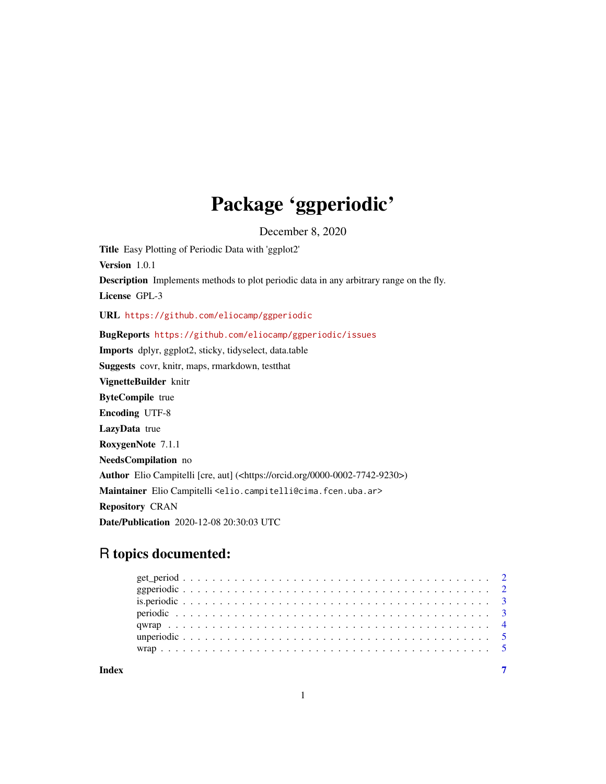## Package 'ggperiodic'

December 8, 2020

Title Easy Plotting of Periodic Data with 'ggplot2' Version 1.0.1 Description Implements methods to plot periodic data in any arbitrary range on the fly. License GPL-3 URL <https://github.com/eliocamp/ggperiodic> BugReports <https://github.com/eliocamp/ggperiodic/issues> Imports dplyr, ggplot2, sticky, tidyselect, data.table Suggests covr, knitr, maps, rmarkdown, testthat VignetteBuilder knitr ByteCompile true Encoding UTF-8 LazyData true RoxygenNote 7.1.1 NeedsCompilation no Author Elio Campitelli [cre, aut] (<https://orcid.org/0000-0002-7742-9230>) Maintainer Elio Campitelli <elio.campitelli@cima.fcen.uba.ar> Repository CRAN Date/Publication 2020-12-08 20:30:03 UTC

### R topics documented:

| Index |  |  |  |  |  |  |  |  |  |  |  |  |  |  |  |  |  |  |  |  |  |  |
|-------|--|--|--|--|--|--|--|--|--|--|--|--|--|--|--|--|--|--|--|--|--|--|

1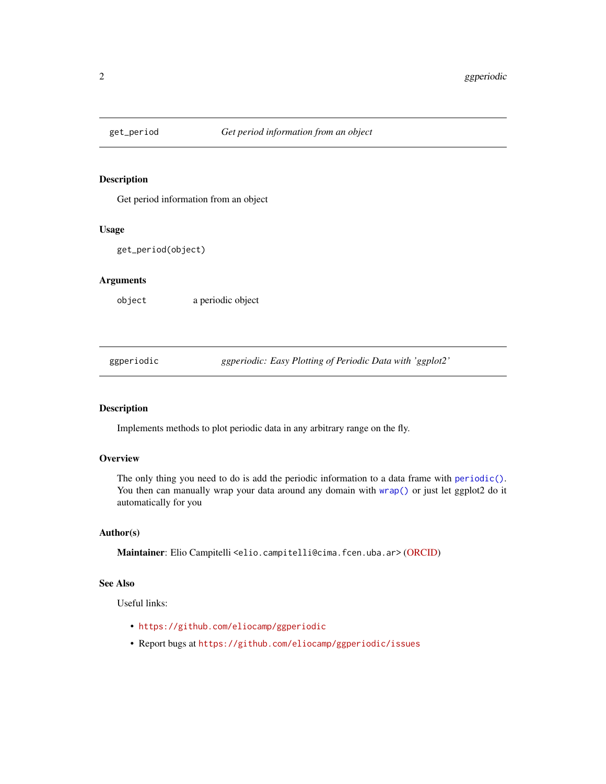<span id="page-1-0"></span>

#### Description

Get period information from an object

#### Usage

```
get_period(object)
```
#### Arguments

object a periodic object

ggperiodic *ggperiodic: Easy Plotting of Periodic Data with 'ggplot2'*

#### Description

Implements methods to plot periodic data in any arbitrary range on the fly.

#### **Overview**

The only thing you need to do is add the periodic information to a data frame with [periodic\(\)](#page-2-1). You then can manually wrap your data around any domain with [wrap\(\)](#page-4-1) or just let ggplot2 do it automatically for you

#### Author(s)

Maintainer: Elio Campitelli <elio.campitelli@cima.fcen.uba.ar> [\(ORCID\)](https://orcid.org/0000-0002-7742-9230)

#### See Also

Useful links:

- <https://github.com/eliocamp/ggperiodic>
- Report bugs at <https://github.com/eliocamp/ggperiodic/issues>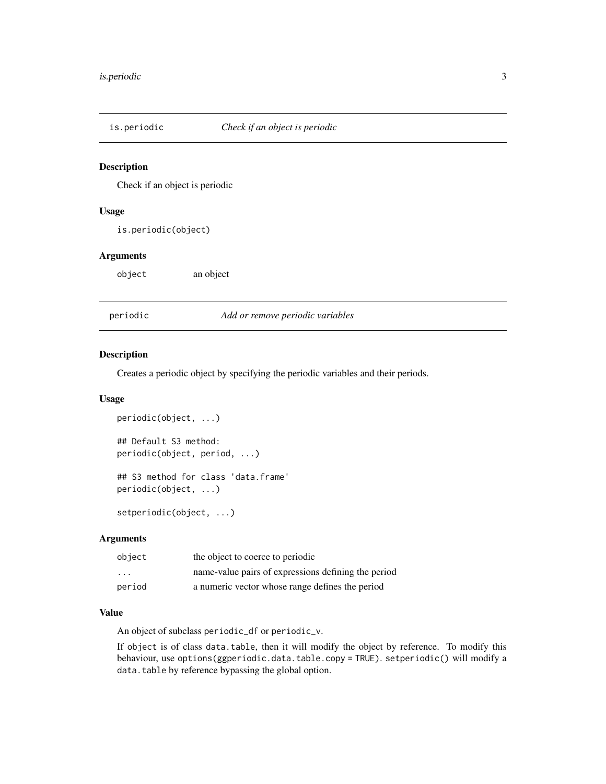<span id="page-2-0"></span>

#### Description

Check if an object is periodic

#### Usage

is.periodic(object)

#### Arguments

object an object

<span id="page-2-1"></span>periodic *Add or remove periodic variables*

#### Description

Creates a periodic object by specifying the periodic variables and their periods.

#### Usage

```
periodic(object, ...)
## Default S3 method:
periodic(object, period, ...)
## S3 method for class 'data.frame'
periodic(object, ...)
```
setperiodic(object, ...)

#### Arguments

| object                  | the object to coerce to periodic                    |
|-------------------------|-----------------------------------------------------|
| $\cdot$ $\cdot$ $\cdot$ | name-value pairs of expressions defining the period |
| period                  | a numeric vector whose range defines the period     |

#### Value

An object of subclass periodic\_df or periodic\_v.

If object is of class data.table, then it will modify the object by reference. To modify this behaviour, use options(ggperiodic.data.table.copy = TRUE). setperiodic() will modify a data.table by reference bypassing the global option.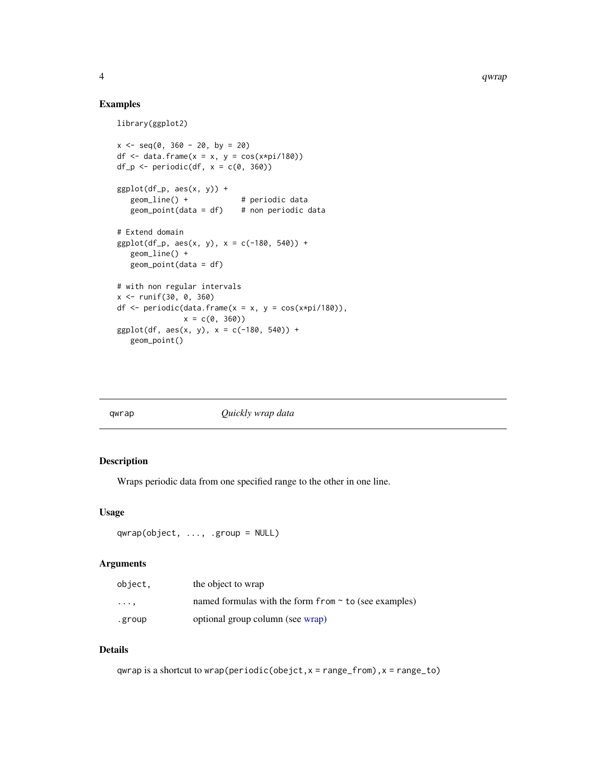#### Examples

```
library(ggplot2)
```

```
x \le - seq(0, 360 - 20, by = 20)
df \le data.frame(x = x, y = cos(x*pi/180))
df_p \leftarrow periodic(df, x = c(0, 360))
ggplot(df_p, aes(x, y)) +geom_line() + # periodic data
  geom\_point(data = df) # non periodic data
# Extend domain
ggplot(df_p, aes(x, y), x = c(-180, 540)) +geom_line() +
  geom_point(data = df)
# with non regular intervals
x <- runif(30, 0, 360)
df \leq periodic(data.frame(x = x, y = cos(x*pi/180)),
              x = c(0, 360)ggplot(df, aes(x, y), x = c(-180, 540)) +geom_point()
```

| qwrap | Quickly wrap data |
|-------|-------------------|
|       |                   |

#### Description

Wraps periodic data from one specified range to the other in one line.

#### Usage

```
qwrap(object, ..., .group = NULL)
```
#### Arguments

| object,  | the object to wrap                                            |
|----------|---------------------------------------------------------------|
| $\cdots$ | named formulas with the form $f$ rom $\sim$ to (see examples) |
| .group   | optional group column (see wrap)                              |

#### Details

qwrap is a shortcut to wrap(periodic(obejct,  $x = range_{r}$  rom),  $x = range_{r}$ 

<span id="page-3-0"></span>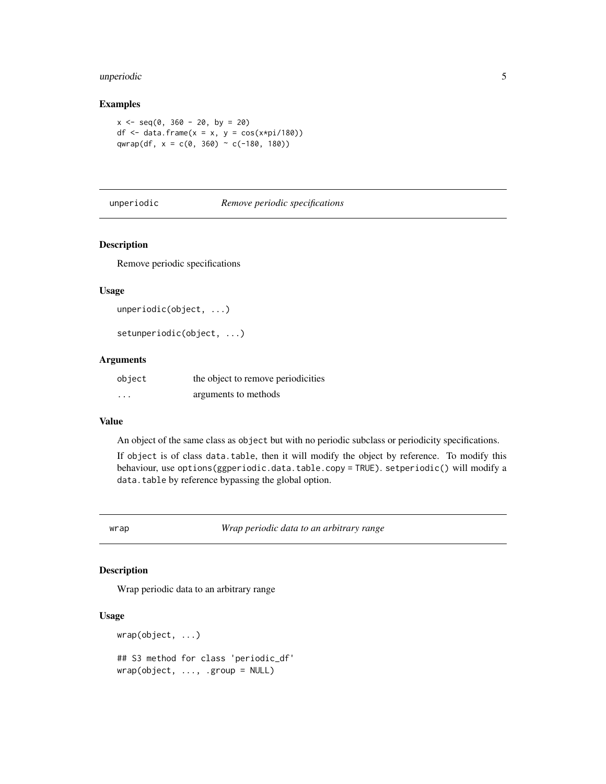#### <span id="page-4-0"></span>unperiodic 5

#### Examples

```
x \le - seq(0, 360 - 20, by = 20)
df \le data.frame(x = x, y = cos(x*pi/180))
qwrap(df, x = c(0, 360) \sim c(-180, 180))
```
#### unperiodic *Remove periodic specifications*

#### Description

Remove periodic specifications

#### Usage

```
unperiodic(object, ...)
```

```
setunperiodic(object, ...)
```
#### Arguments

| object                  | the object to remove periodicities |
|-------------------------|------------------------------------|
| $\cdot$ $\cdot$ $\cdot$ | arguments to methods               |

#### Value

An object of the same class as object but with no periodic subclass or periodicity specifications.

If object is of class data.table, then it will modify the object by reference. To modify this behaviour, use options(ggperiodic.data.table.copy = TRUE). setperiodic() will modify a data.table by reference bypassing the global option.

<span id="page-4-1"></span>wrap *Wrap periodic data to an arbitrary range*

#### Description

Wrap periodic data to an arbitrary range

#### Usage

```
wrap(object, ...)
## S3 method for class 'periodic_df'
wrap(object, ..., .group = NULL)
```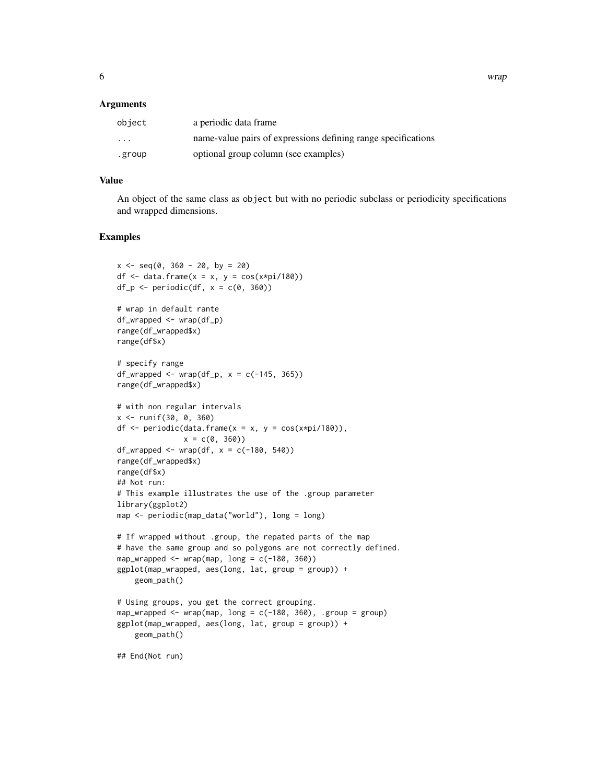#### **Arguments**

| object   | a periodic data frame                                         |
|----------|---------------------------------------------------------------|
| $\cdots$ | name-value pairs of expressions defining range specifications |
| .group   | optional group column (see examples)                          |

#### Value

An object of the same class as object but with no periodic subclass or periodicity specifications and wrapped dimensions.

#### Examples

```
x \le - seq(0, 360 - 20, by = 20)
df \le data.frame(x = x, y = cos(x*pi/180))
df_p \leftarrow periodic(df, x = c(0, 360))# wrap in default rante
df_wrapped <- wrap(df_p)
range(df_wrapped$x)
range(df$x)
# specify range
df_wrapped <- wrap(df_p, x = c(-145, 365))range(df_wrapped$x)
# with non regular intervals
x <- runif(30, 0, 360)
df \leq periodic(data.frame(x = x, y = cos(x*pi/180)),
               x = c(0, 360)df_wrapped <- wrap(df, x = c(-180, 540))
range(df_wrapped$x)
range(df$x)
## Not run:
# This example illustrates the use of the .group parameter
library(ggplot2)
map <- periodic(map_data("world"), long = long)
# If wrapped without .group, the repated parts of the map
# have the same group and so polygons are not correctly defined.
map_wrapped \leq wrap(map, long = c(-180, 360))
ggplot(map_wrapped, aes(long, lat, group = group)) +
    geom_path()
# Using groups, you get the correct grouping.
map_wrapped <- wrap(map, long = c(-180, 360), .group = group)
ggplot(map_wrapped, aes(long, lat, group = group)) +
    geom_path()
```